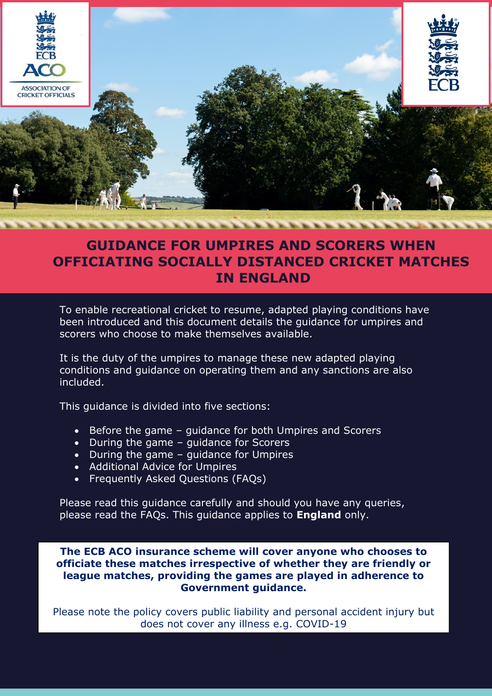

# **GUIDANCE FOR UMPIRES AND SCORERS WHEN OFFICIATING SOCIALLY DISTANCED CRICKET MATCHES IN ENGLAND**

To enable recreational cricket to resume, adapted playing conditions have been introduced and this document details the guidance for umpires and scorers who choose to make themselves available.

It is the duty of the umpires to manage these new adapted playing conditions and guidance on operating them and any sanctions are also included.

This guidance is divided into five sections:

- Before the game guidance for both Umpires and Scorers
- During the game guidance for Scorers
- During the game guidance for Umpires
- Additional Advice for Umpires
- Frequently Asked Questions (FAQs)

Please read this guidance carefully and should you have any queries, please read the FAQs. This guidance applies to **England** only.

**The ECB ACO insurance scheme will cover anyone who chooses to officiate these matches irrespective of whether they are friendly or league matches, providing the games are played in adherence to Government guidance.**

Please note the policy covers public liability and personal accident injury but does not cover any illness e.g. COVID-19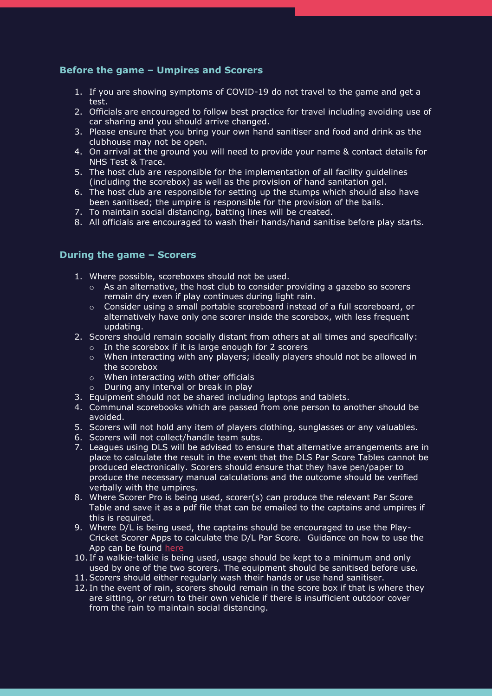# **Before the game – Umpires and Scorers**

- 1. If you are showing symptoms of COVID-19 do not travel to the game and get a test.
- 2. Officials are encouraged to follow best practice for travel including avoiding use of car sharing and you should arrive changed.
- 3. Please ensure that you bring your own hand sanitiser and food and drink as the clubhouse may not be open.
- 4. On arrival at the ground you will need to provide your name & contact details for NHS Test & Trace.
- 5. The host club are responsible for the implementation of all facility guidelines (including the scorebox) as well as the provision of hand sanitation gel.
- 6. The host club are responsible for setting up the stumps which should also have been sanitised; the umpire is responsible for the provision of the bails.
- 7. To maintain social distancing, batting lines will be created.
- 8. All officials are encouraged to wash their hands/hand sanitise before play starts.

# **During the game – Scorers**

- 1. Where possible, scoreboxes should not be used.
	- $\circ$  As an alternative, the host club to consider providing a gazebo so scorers remain dry even if play continues during light rain.
	- o Consider using a small portable scoreboard instead of a full scoreboard, or alternatively have only one scorer inside the scorebox, with less frequent updating.
- 2. Scorers should remain socially distant from others at all times and specifically:
	- o In the scorebox if it is large enough for 2 scorers
	- o When interacting with any players; ideally players should not be allowed in the scorebox
	- o When interacting with other officials
	- o During any interval or break in play
- 3. Equipment should not be shared including laptops and tablets.
- 4. Communal scorebooks which are passed from one person to another should be avoided.
- 5. Scorers will not hold any item of players clothing, sunglasses or any valuables.
- 6. Scorers will not collect/handle team subs.
- 7. Leagues using DLS will be advised to ensure that alternative arrangements are in place to calculate the result in the event that the DLS Par Score Tables cannot be produced electronically. Scorers should ensure that they have pen/paper to produce the necessary manual calculations and the outcome should be verified verbally with the umpires.
- 8. Where Scorer Pro is being used, scorer(s) can produce the relevant Par Score Table and save it as a pdf file that can be emailed to the captains and umpires if this is required.
- 9. Where D/L is being used, the captains should be encouraged to use the Play-Cricket Scorer Apps to calculate the D/L Par Score. Guidance on how to use the App can be found [here](https://play-cricket.ecb.co.uk/hc/en-us/articles/360000281065-Standalone-Duckworth-Lewis-Calculator-PCS-)
- 10. If a walkie-talkie is being used, usage should be kept to a minimum and only used by one of the two scorers. The equipment should be sanitised before use.
- 11.Scorers should either regularly wash their hands or use hand sanitiser.
- 12. In the event of rain, scorers should remain in the score box if that is where they are sitting, or return to their own vehicle if there is insufficient outdoor cover from the rain to maintain social distancing.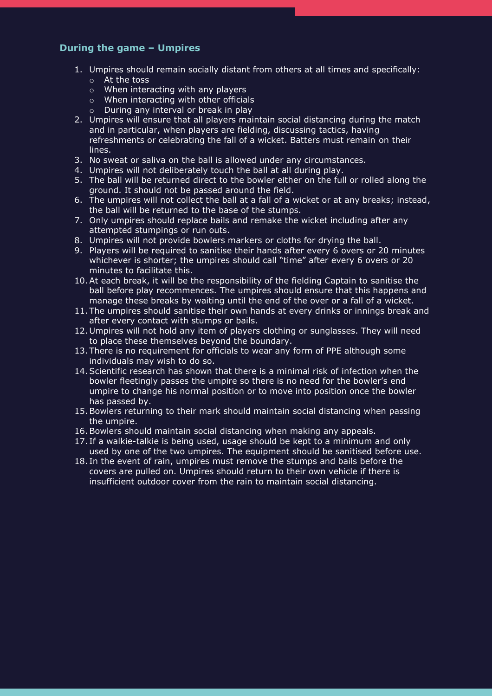# **During the game – Umpires**

- 1. Umpires should remain socially distant from others at all times and specifically: o At the toss
	- o When interacting with any players
	- o When interacting with other officials
	- o During any interval or break in play
- 2. Umpires will ensure that all players maintain social distancing during the match and in particular, when players are fielding, discussing tactics, having refreshments or celebrating the fall of a wicket. Batters must remain on their lines.
- 3. No sweat or saliva on the ball is allowed under any circumstances.
- 4. Umpires will not deliberately touch the ball at all during play.
- 5. The ball will be returned direct to the bowler either on the full or rolled along the ground. It should not be passed around the field.
- 6. The umpires will not collect the ball at a fall of a wicket or at any breaks; instead, the ball will be returned to the base of the stumps.
- 7. Only umpires should replace bails and remake the wicket including after any attempted stumpings or run outs.
- 8. Umpires will not provide bowlers markers or cloths for drying the ball.
- 9. Players will be required to sanitise their hands after every 6 overs or 20 minutes whichever is shorter; the umpires should call "time" after every 6 overs or 20 minutes to facilitate this.
- 10.At each break, it will be the responsibility of the fielding Captain to sanitise the ball before play recommences. The umpires should ensure that this happens and manage these breaks by waiting until the end of the over or a fall of a wicket.
- 11. The umpires should sanitise their own hands at every drinks or innings break and after every contact with stumps or bails.
- 12. Umpires will not hold any item of players clothing or sunglasses. They will need to place these themselves beyond the boundary.
- 13. There is no requirement for officials to wear any form of PPE although some individuals may wish to do so.
- 14.Scientific research has shown that there is a minimal risk of infection when the bowler fleetingly passes the umpire so there is no need for the bowler's end umpire to change his normal position or to move into position once the bowler has passed by.
- 15.Bowlers returning to their mark should maintain social distancing when passing the umpire.
- 16.Bowlers should maintain social distancing when making any appeals.
- 17. If a walkie-talkie is being used, usage should be kept to a minimum and only used by one of the two umpires. The equipment should be sanitised before use.
- 18. In the event of rain, umpires must remove the stumps and bails before the covers are pulled on. Umpires should return to their own vehicle if there is insufficient outdoor cover from the rain to maintain social distancing.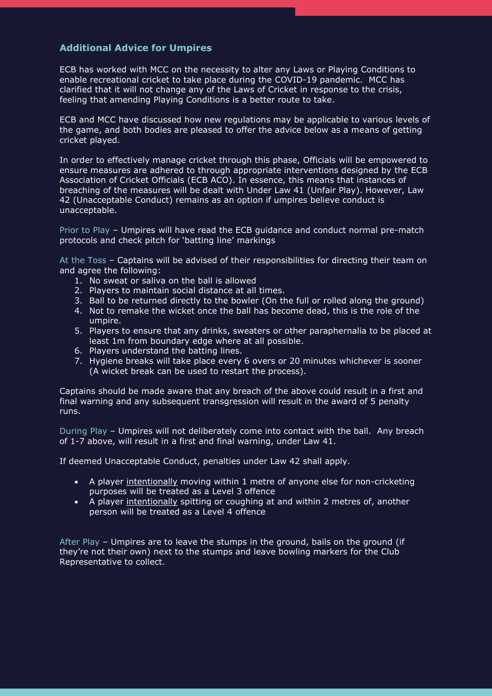# **Additional Advice for Umpires**

ECB has worked with MCC on the necessity to alter any Laws or Playing Conditions to enable recreational cricket to take place during the COVID-19 pandemic. MCC has clarified that it will not change any of the Laws of Cricket in response to the crisis, feeling that amending Playing Conditions is a better route to take.

ECB and MCC have discussed how new regulations may be applicable to various levels of the game, and both bodies are pleased to offer the advice below as a means of getting cricket played.

In order to effectively manage cricket through this phase, Officials will be empowered to ensure measures are adhered to through appropriate interventions designed by the ECB Association of Cricket Officials (ECB ACO). In essence, this means that instances of breaching of the measures will be dealt with Under Law 41 (Unfair Play). However, Law 42 (Unacceptable Conduct) remains as an option if umpires believe conduct is unacceptable.

Prior to Play – Umpires will have read the ECB guidance and conduct normal pre-match protocols and check pitch for 'batting line' markings

At the Toss – Captains will be advised of their responsibilities for directing their team on and agree the following:

- 1. No sweat or saliva on the ball is allowed
- 2. Players to maintain social distance at all times.
- 3. Ball to be returned directly to the bowler (On the full or rolled along the ground)
- 4. Not to remake the wicket once the ball has become dead, this is the role of the umpire.
- 5. Players to ensure that any drinks, sweaters or other paraphernalia to be placed at least 1m from boundary edge where at all possible.
- 6. Players understand the batting lines.
- 7. Hygiene breaks will take place every 6 overs or 20 minutes whichever is sooner (A wicket break can be used to restart the process).

Captains should be made aware that any breach of the above could result in a first and final warning and any subsequent transgression will result in the award of 5 penalty runs.

During Play – Umpires will not deliberately come into contact with the ball. Any breach of 1-7 above, will result in a first and final warning, under Law 41.

If deemed Unacceptable Conduct, penalties under Law 42 shall apply.

- A player intentionally moving within 1 metre of anyone else for non-cricketing purposes will be treated as a Level 3 offence
- A player intentionally spitting or coughing at and within 2 metres of, another person will be treated as a Level 4 offence

After Play – Umpires are to leave the stumps in the ground, bails on the ground (if they're not their own) next to the stumps and leave bowling markers for the Club Representative to collect.